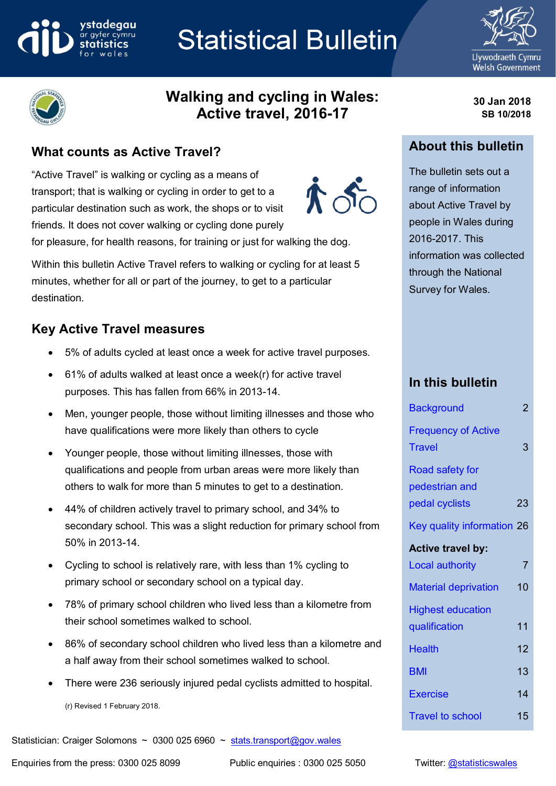## ystadegau ar ayfer cymru

# **Statistical Bulletin**



**30 Jan 2018 SB 10/2018**



## **Walking and cycling in Wales: Active travel, 2016-17**

## **What counts as Active Travel?**

"Active Travel" is walking or cycling as a means of transport; that is walking or cycling in order to get to a particular destination such as work, the shops or to visit friends. It does not cover walking or cycling done purely



for pleasure, for health reasons, for training or just for walking the dog.

Within this bulletin Active Travel refers to walking or cycling for at least 5 minutes, whether for all or part of the journey, to get to a particular destination.

## **Key Active Travel measures**

- 5% of adults cycled at least once a week for active travel purposes.
- 61% of adults walked at least once a week(r) for active travel purposes. This has fallen from 66% in 2013-14.
- Men, younger people, those without limiting illnesses and those who have qualifications were more likely than others to cycle
- Younger people, those without limiting illnesses, those with qualifications and people from urban areas were more likely than others to walk for more than 5 minutes to get to a destination.
- 44% of children actively travel to primary school, and 34% to secondary school. This was a slight reduction for primary school from 50% in 2013-14.
- Cycling to school is relatively rare, with less than 1% cycling to primary school or secondary school on a typical day.
- 78% of primary school children who lived less than a kilometre from their school sometimes walked to school.
- 86% of secondary school children who lived less than a kilometre and a half away from their school sometimes walked to school.
- There were 236 seriously injured pedal cyclists admitted to hospital.

(r) Revised 1 February 2018.

Statistician: Craiger Solomons ~ 0300 025 6960 ~ [stats.transport@gov.wales](mailto:stats.transport@gov.wales)

Enquiries from the press: 0300 025 8099 Public enquiries : 0300 025 5050 Twitter: [@statisticswales](http://www.twitter.com/statisticswales)

## The bulletin sets out a range of information

**About this bulletin**

about Active Travel by people in Wales during 2016-2017. This information was collected through the National Survey for Wales.

## **In this bulletin**

| <b>Background</b>                           | $\overline{c}$ |
|---------------------------------------------|----------------|
| <b>Frequency of Active</b><br><b>Travel</b> | 3              |
| <b>Road safety for</b><br>pedestrian and    |                |
| pedal cyclists                              | 23             |
| Key quality information 26                  |                |
| <b>Active travel by:</b>                    |                |
| <b>Local authority</b>                      | $\overline{7}$ |
| <b>Material deprivation</b>                 | 10             |
| <b>Highest education</b>                    |                |
| qualification                               | 11             |
| <b>Health</b>                               | 12             |
| <b>BMI</b>                                  | 13             |
| Exercise                                    | 14             |
| <b>Travel to school</b>                     | 15             |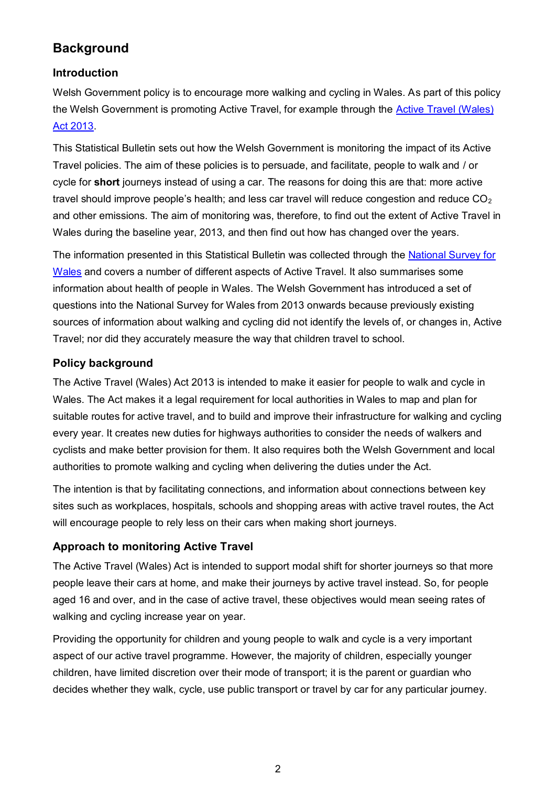## **Background**

#### **Introduction**

Welsh Government policy is to encourage more walking and cycling in Wales. As part of this policy the Welsh Government is promoting Active Travel, for example through the [Active Travel \(Wales\)](https://beta.gov.wales/walking-cycling)  [Act 2013.](https://beta.gov.wales/walking-cycling)

This Statistical Bulletin sets out how the Welsh Government is monitoring the impact of its Active Travel policies. The aim of these policies is to persuade, and facilitate, people to walk and / or cycle for **short** journeys instead of using a car. The reasons for doing this are that: more active travel should improve people's health; and less car travel will reduce congestion and reduce  $CO<sub>2</sub>$ and other emissions. The aim of monitoring was, therefore, to find out the extent of Active Travel in Wales during the baseline year, 2013, and then find out how has changed over the years.

The information presented in this Statistical Bulletin was collected through the [National Survey for](http://gov.wales/statistics-and-research/national-survey/?lang=en)  [Wales](http://gov.wales/statistics-and-research/national-survey/?lang=en) and covers a number of different aspects of Active Travel. It also summarises some information about health of people in Wales. The Welsh Government has introduced a set of questions into the National Survey for Wales from 2013 onwards because previously existing sources of information about walking and cycling did not identify the levels of, or changes in, Active Travel; nor did they accurately measure the way that children travel to school.

## **Policy background**

The Active Travel (Wales) Act 2013 is intended to make it easier for people to walk and cycle in Wales. The Act makes it a legal requirement for local authorities in Wales to map and plan for suitable routes for active travel, and to build and improve their infrastructure for walking and cycling every year. It creates new duties for highways authorities to consider the needs of walkers and cyclists and make better provision for them. It also requires both the Welsh Government and local authorities to promote walking and cycling when delivering the duties under the Act.

The intention is that by facilitating connections, and information about connections between key sites such as workplaces, hospitals, schools and shopping areas with active travel routes, the Act will encourage people to rely less on their cars when making short journeys.

#### **Approach to monitoring Active Travel**

The Active Travel (Wales) Act is intended to support modal shift for shorter journeys so that more people leave their cars at home, and make their journeys by active travel instead. So, for people aged 16 and over, and in the case of active travel, these objectives would mean seeing rates of walking and cycling increase year on year.

Providing the opportunity for children and young people to walk and cycle is a very important aspect of our active travel programme. However, the majority of children, especially younger children, have limited discretion over their mode of transport; it is the parent or guardian who decides whether they walk, cycle, use public transport or travel by car for any particular journey.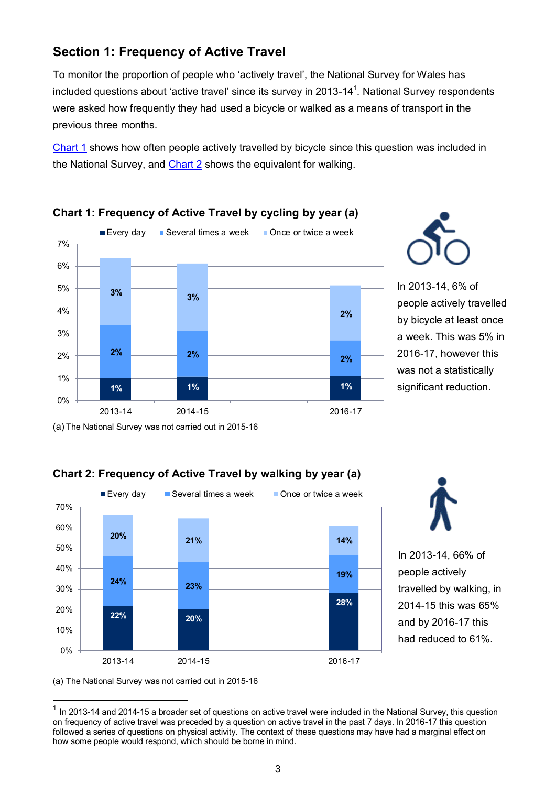## **Section 1: Frequency of Active Travel**

To monitor the proportion of people who 'actively travel', the National Survey for Wales has included questions about 'active travel' since its survey in 2013-14<sup>1</sup>. National Survey respondents were asked how frequently they had used a bicycle or walked as a means of transport in the previous three months.

[Chart 1](#page-2-0) shows how often people actively travelled by bicycle since this question was included in the National Survey, and [Chart 2](#page-2-1) shows the equivalent for walking.



## <span id="page-2-0"></span>**Chart 1: Frequency of Active Travel by cycling by year (a)**



In 2013-14, 6% of people actively travelled by bicycle at least once a week. This was 5% in 2016-17, however this was not a statistically significant reduction.

<span id="page-2-1"></span>(a) The National Survey was not carried out in 2015-16







In 2013-14, 66% of people actively travelled by walking, in 2014-15 this was 65% and by 2016-17 this had reduced to 61%.

(a) The National Survey was not carried out in 2015-16

**.** 

 $1$  In 2013-14 and 2014-15 a broader set of questions on active travel were included in the National Survey, this question on frequency of active travel was preceded by a question on active travel in the past 7 days. In 2016-17 this question followed a series of questions on physical activity. The context of these questions may have had a marginal effect on how some people would respond, which should be borne in mind.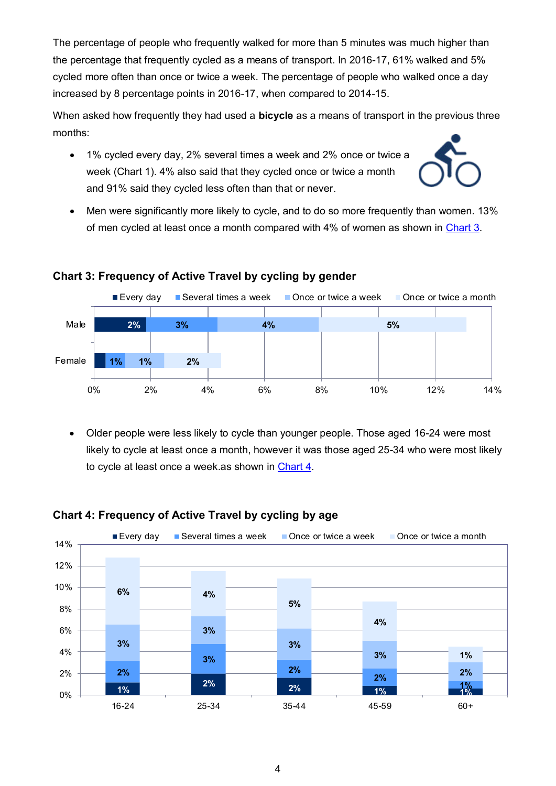<span id="page-3-0"></span>The percentage of people who frequently walked for more than 5 minutes was much higher than the percentage that frequently cycled as a means of transport. In 2016-17, 61% walked and 5% cycled more often than once or twice a week. The percentage of people who walked once a day increased by 8 percentage points in 2016-17, when compared to 2014-15.

When asked how frequently they had used a **bicycle** as a means of transport in the previous three months:

 1% cycled every day, 2% several times a week and 2% once or twice a week (Chart 1). 4% also said that they cycled once or twice a month and 91% said they cycled less often than that or never.



 Men were significantly more likely to cycle, and to do so more frequently than women. 13% of men cycled at least once a month compared with 4% of women as shown in [Chart 3.](#page-3-0)



#### **Chart 3: Frequency of Active Travel by cycling by gender**

 Older people were less likely to cycle than younger people. Those aged 16-24 were most likely to cycle at least once a month, however it was those aged 25-34 who were most likely to cycle at least once a week.as shown in [Chart 4.](#page-3-1)



#### <span id="page-3-1"></span>**Chart 4: Frequency of Active Travel by cycling by age**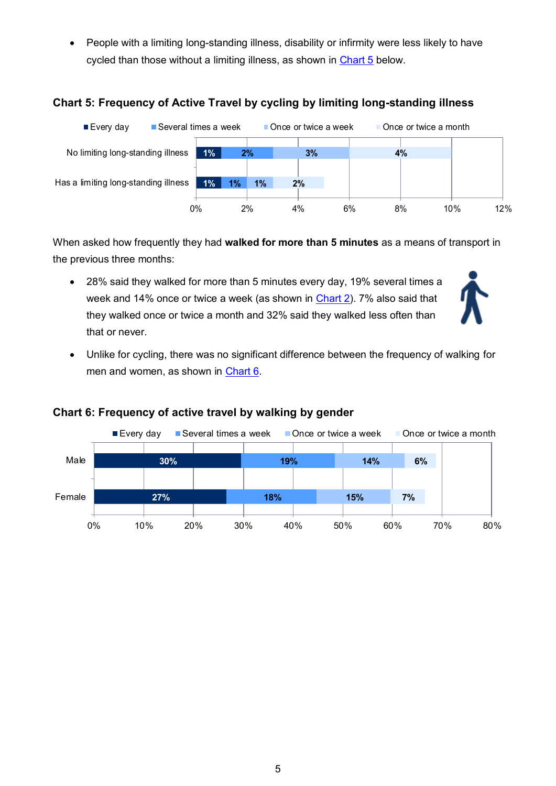<span id="page-4-0"></span>• People with a limiting long-standing illness, disability or infirmity were less likely to have cycled than those without a limiting illness, as shown in [Chart 5](#page-4-0) below.

## **Chart 5: Frequency of Active Travel by cycling by limiting long-standing illness**



When asked how frequently they had **walked for more than 5 minutes** as a means of transport in the previous three months:

 28% said they walked for more than 5 minutes every day, 19% several times a week and 14% once or twice a week (as shown in [Chart 2\)](#page-2-1). 7% also said that they walked once or twice a month and 32% said they walked less often than that or never.



 Unlike for cycling, there was no significant difference between the frequency of walking for men and women, as shown in [Chart 6.](#page-4-0)



#### **Chart 6: Frequency of active travel by walking by gender**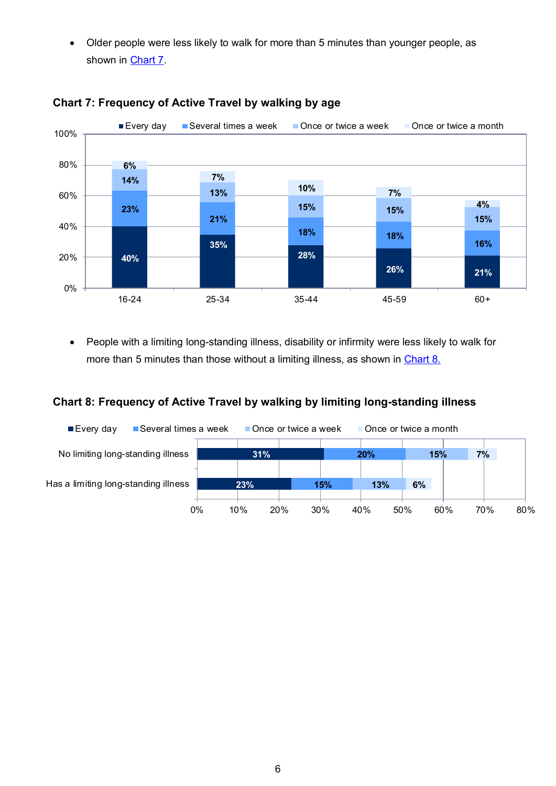<span id="page-5-0"></span> Older people were less likely to walk for more than 5 minutes than younger people, as shown in **Chart 7**.



## **Chart 7: Frequency of Active Travel by walking by age**

 People with a limiting long-standing illness, disability or infirmity were less likely to walk for more than 5 minutes than those without a limiting illness, as shown in [Chart 8.](#page-5-1)

#### <span id="page-5-1"></span>**Chart 8: Frequency of Active Travel by walking by limiting long-standing illness**

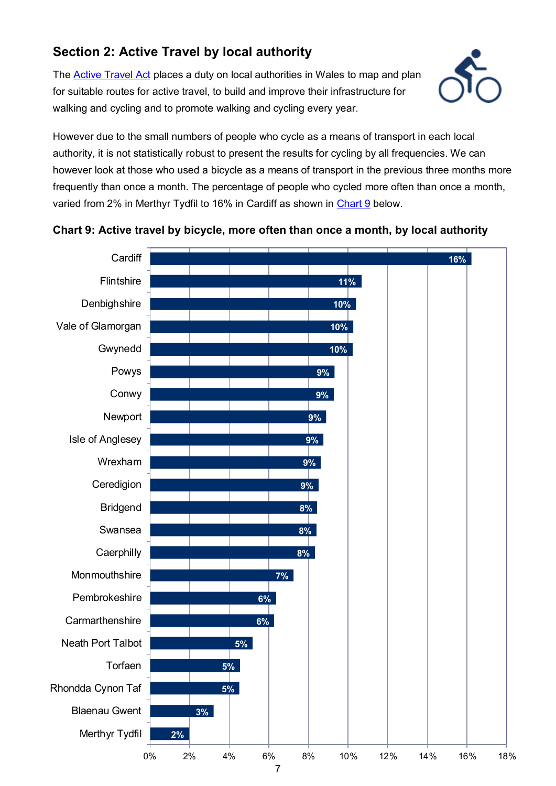## **Section 2: Active Travel by local authority**

The [Active Travel Act](https://beta.gov.wales/walking-cycling) places a duty on local authorities in Wales to map and plan for suitable routes for active travel, to build and improve their infrastructure for walking and cycling and to promote walking and cycling every year.



However due to the small numbers of people who cycle as a means of transport in each local authority, it is not statistically robust to present the results for cycling by all frequencies. We can however look at those who used a bicycle as a means of transport in the previous three months more frequently than once a month. The percentage of people who cycled more often than once a month, varied from 2% in Merthyr Tydfil to 16% in Cardiff as shown in [Chart 9](#page-6-0) below.



#### <span id="page-6-0"></span>**Chart 9: Active travel by bicycle, more often than once a month, by local authority**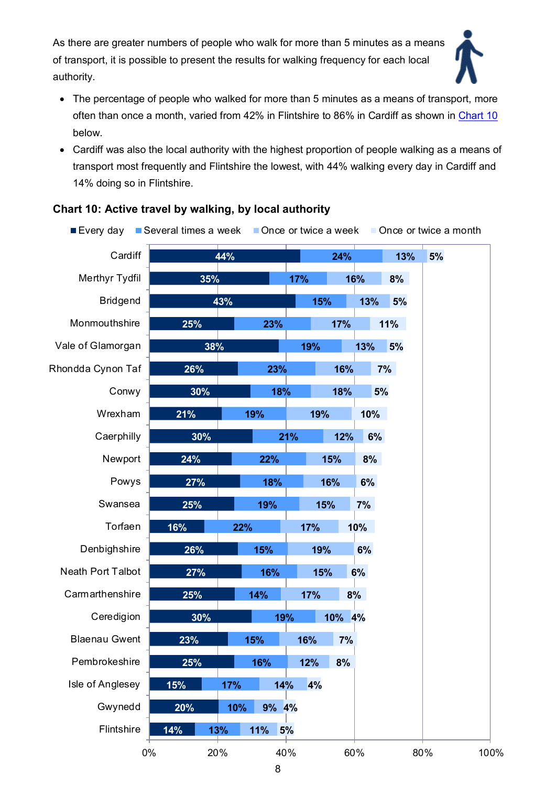As there are greater numbers of people who walk for more than 5 minutes as a means of transport, it is possible to present the results for walking frequency for each local authority.



- The percentage of people who walked for more than 5 minutes as a means of transport, more often than once a month, varied from 42% in Flintshire to 86% in Cardiff as shown in [Chart](#page-7-0) 10 below.
- Cardiff was also the local authority with the highest proportion of people walking as a means of transport most frequently and Flintshire the lowest, with 44% walking every day in Cardiff and 14% doing so in Flintshire.

| ■Every day           | Several times a week Once or twice a week |            |           |        |           |     | Once or twice a month |
|----------------------|-------------------------------------------|------------|-----------|--------|-----------|-----|-----------------------|
| Cardiff              |                                           | 44%        |           | 24%    |           | 13% | 5%                    |
| Merthyr Tydfil       | 35%                                       |            | 17%       | 16%    | 8%        |     |                       |
| <b>Bridgend</b>      |                                           | 43%        |           | 15%    | 13%<br>5% |     |                       |
| Monmouthshire        | 25%                                       |            | 23%       | 17%    | 11%       |     |                       |
| Vale of Glamorgan    | 38%                                       |            | 19%       |        | 13%<br>5% |     |                       |
| Rhondda Cynon Taf    | 26%                                       |            | 23%       | 16%    | 7%        |     |                       |
| Conwy                | 30%                                       |            | 18%       | 18%    | 5%        |     |                       |
| Wrexham              | 21%                                       | 19%        |           | 19%    | 10%       |     |                       |
| Caerphilly           | 30%                                       |            | 21%       | 12%    | 6%        |     |                       |
| Newport              | 24%                                       | 22%        |           | 15%    | 8%        |     |                       |
| Powys                | 27%                                       |            | 18%       | 16%    | 6%        |     |                       |
| Swansea              | 25%                                       | 19%        |           | 15%    | 7%        |     |                       |
| Torfaen              | 16%                                       | 22%        | 17%       |        | 10%       |     |                       |
| Denbighshire         | 26%                                       | 15%        |           | 19%    | 6%        |     |                       |
| Neath Port Talbot    | 27%                                       | 16%        |           | 15%    | 6%        |     |                       |
| Carmarthenshire      | 25%                                       | 14%        | 17%       | 8%     |           |     |                       |
| Ceredigion           | 30%                                       |            | 19%       | 10% 4% |           |     |                       |
| <b>Blaenau Gwent</b> | 23%                                       | 15%        | 16%       | 7%     |           |     |                       |
| Pembrokeshire        | 25%                                       | 16%        | 12%       | 8%     |           |     |                       |
| Isle of Anglesey     | 15%                                       | 17%        | 14%<br>4% |        |           |     |                       |
| Gwynedd              | 20%                                       | 10%        | 9% 4%     |        |           |     |                       |
| Flintshire           | 14%                                       | 11%<br>13% | 5%        |        |           |     |                       |
|                      | 0%                                        | 20%        | 40%       | 60%    |           | 80% | 100%                  |

#### <span id="page-7-0"></span>**Chart 10: Active travel by walking, by local authority**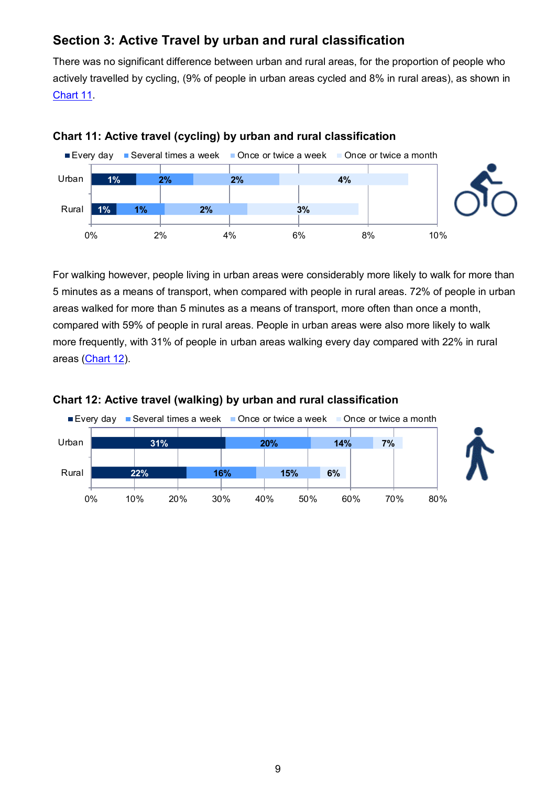## **Section 3: Active Travel by urban and rural classification**

<span id="page-8-0"></span>There was no significant difference between urban and rural areas, for the proportion of people who actively travelled by cycling, (9% of people in urban areas cycled and 8% in rural areas), as shown in [Chart 11.](#page-8-0)



#### **Chart 11: Active travel (cycling) by urban and rural classification**

For walking however, people living in urban areas were considerably more likely to walk for more than 5 minutes as a means of transport, when compared with people in rural areas. 72% of people in urban areas walked for more than 5 minutes as a means of transport, more often than once a month, compared with 59% of people in rural areas. People in urban areas were also more likely to walk more frequently, with 31% of people in urban areas walking every day compared with 22% in rural areas [\(Chart 12\)](#page-8-1).



#### <span id="page-8-1"></span>**Chart 12: Active travel (walking) by urban and rural classification**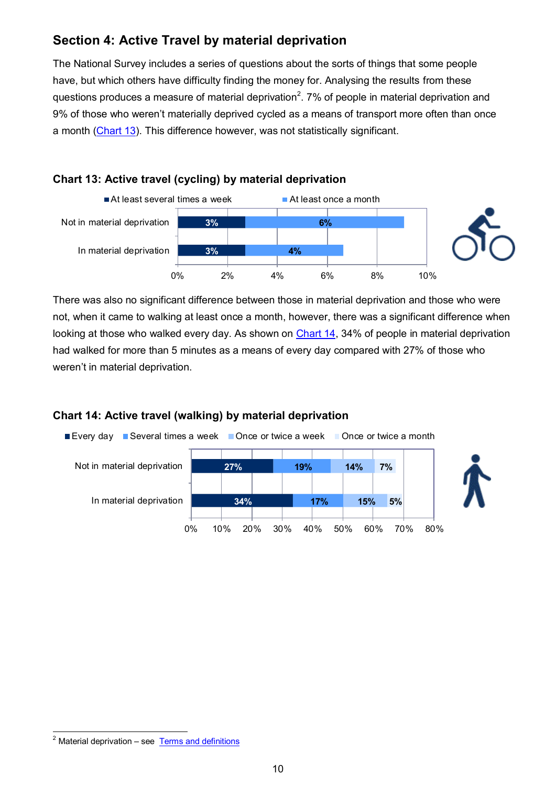## **Section 4: Active Travel by material deprivation**

The National Survey includes a series of questions about the sorts of things that some people have, but which others have difficulty finding the money for. Analysing the results from these questions produces a measure of material deprivation<sup>2</sup>. 7% of people in material deprivation and 9% of those who weren't materially deprived cycled as a means of transport more often than once a month [\(Chart 13\)](#page-9-0). This difference however, was not statistically significant.

## <span id="page-9-0"></span>**Chart 13: Active travel (cycling) by material deprivation**



There was also no significant difference between those in material deprivation and those who were not, when it came to walking at least once a month, however, there was a significant difference when looking at those who walked every day. As shown on [Chart 14,](#page-9-1) 34% of people in material deprivation had walked for more than 5 minutes as a means of every day compared with 27% of those who weren't in material deprivation.

## <span id="page-9-1"></span>**Chart 14: Active travel (walking) by material deprivation**



 <sup>2</sup> Material deprivation – see Terms and definitions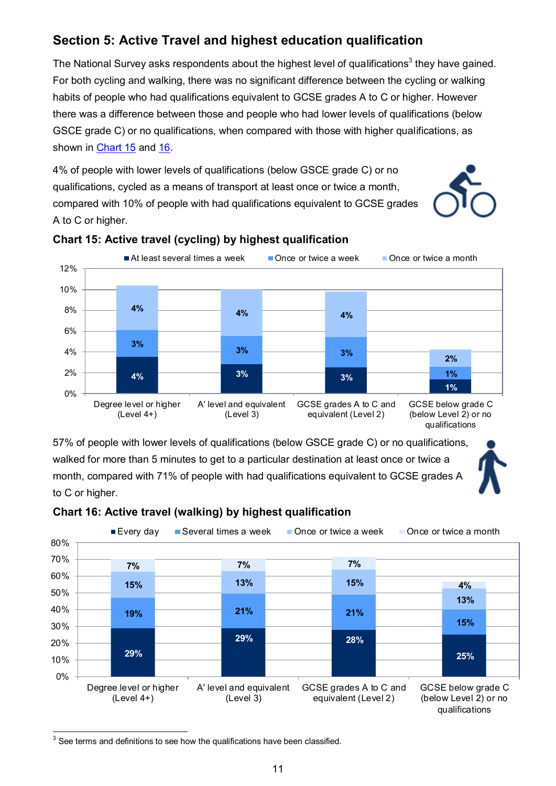## **Section 5: Active Travel and highest education qualification**

The National Survey asks respondents about the highest level of qualifications<sup>3</sup> they have gained. For both cycling and walking, there was no significant difference between the cycling or walking habits of people who had qualifications equivalent to GCSE grades A to C or higher. However there was a difference between those and people who had lower levels of qualifications (below GSCE grade C) or no qualifications, when compared with those with higher qualifications, as shown in [Chart 15](#page-10-0) and [16.](#page-10-1)

4% of people with lower levels of qualifications (below GSCE grade C) or no qualifications, cycled as a means of transport at least once or twice a month, compared with 10% of people with had qualifications equivalent to GCSE grades A to C or higher.





#### <span id="page-10-0"></span>**Chart 15: Active travel (cycling) by highest qualification**

57% of people with lower levels of qualifications (below GSCE grade C) or no qualifications, walked for more than 5 minutes to get to a particular destination at least once or twice a month, compared with 71% of people with had qualifications equivalent to GCSE grades A to C or higher.



#### <span id="page-10-1"></span>**Chart 16: Active travel (walking) by highest qualification**

  $3$  See terms and definitions to see how the qualifications have been classified.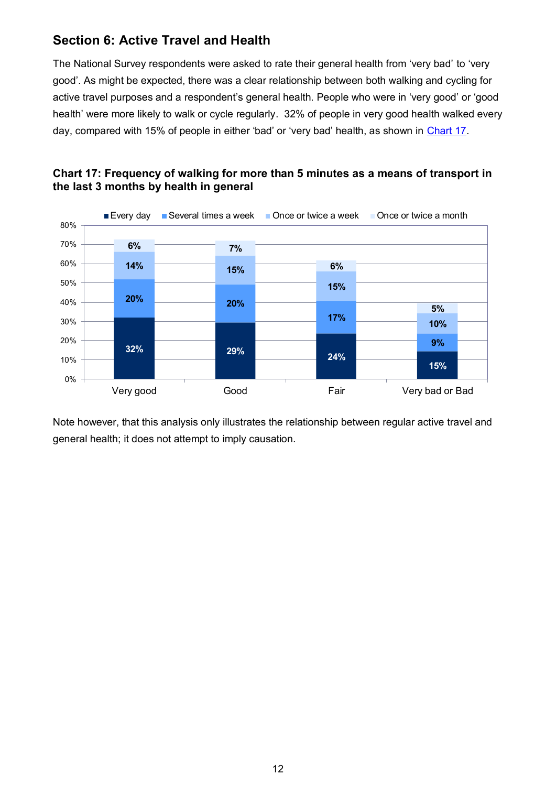## **Section 6: Active Travel and Health**

The National Survey respondents were asked to rate their general health from 'very bad' to 'very good'. As might be expected, there was a clear relationship between both walking and cycling for active travel purposes and a respondent's general health. People who were in 'very good' or 'good health' were more likely to walk or cycle regularly. 32% of people in very good health walked every day, compared with 15% of people in either 'bad' or 'very bad' health, as shown in [Chart 17.](#page-11-0)



<span id="page-11-0"></span>

Note however, that this analysis only illustrates the relationship between regular active travel and general health; it does not attempt to imply causation.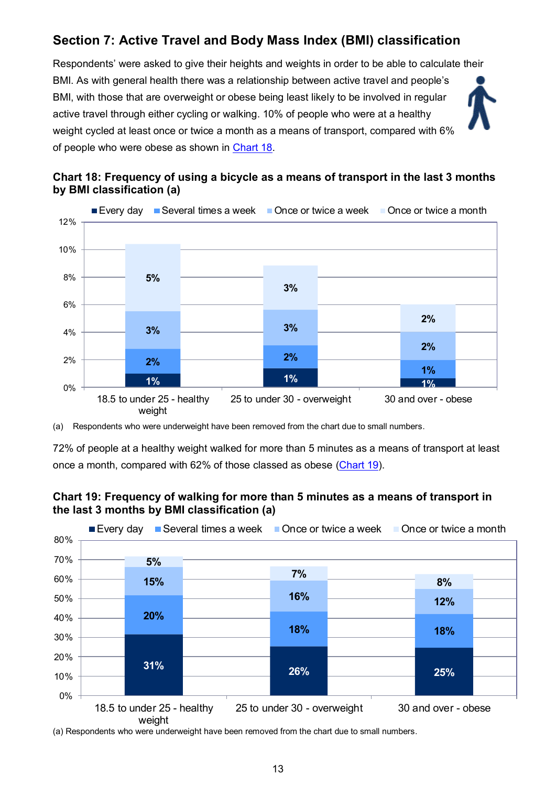## <span id="page-12-0"></span>**Section 7: Active Travel and Body Mass Index (BMI) classification**

Respondents' were asked to give their heights and weights in order to be able to calculate their BMI. As with general health there was a relationship between active travel and people's BMI, with those that are overweight or obese being least likely to be involved in regular active travel through either cycling or walking. 10% of people who were at a healthy weight cycled at least once or twice a month as a means of transport, compared with 6% of people who were obese as shown in [Chart 18.](#page-12-0)





(a) Respondents who were underweight have been removed from the chart due to small numbers.

72% of people at a healthy weight walked for more than 5 minutes as a means of transport at least once a month, compared with 62% of those classed as obese [\(Chart 19\)](#page-12-1).

<span id="page-12-1"></span>



(a) Respondents who were underweight have been removed from the chart due to small numbers.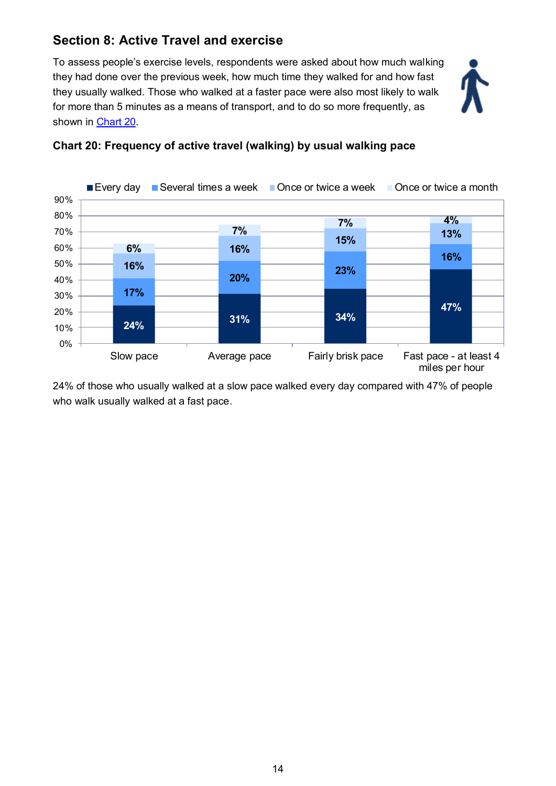## **Section 8: Active Travel and exercise**

To assess people's exercise levels, respondents were asked about how much walking they had done over the previous week, how much time they walked for and how fast they usually walked. Those who walked at a faster pace were also most likely to walk for more than 5 minutes as a means of transport, and to do so more frequently, as shown in [Chart 20.](#page-13-0)





#### <span id="page-13-0"></span>**Chart 20: Frequency of active travel (walking) by usual walking pace**

24% of those who usually walked at a slow pace walked every day compared with 47% of people who walk usually walked at a fast pace.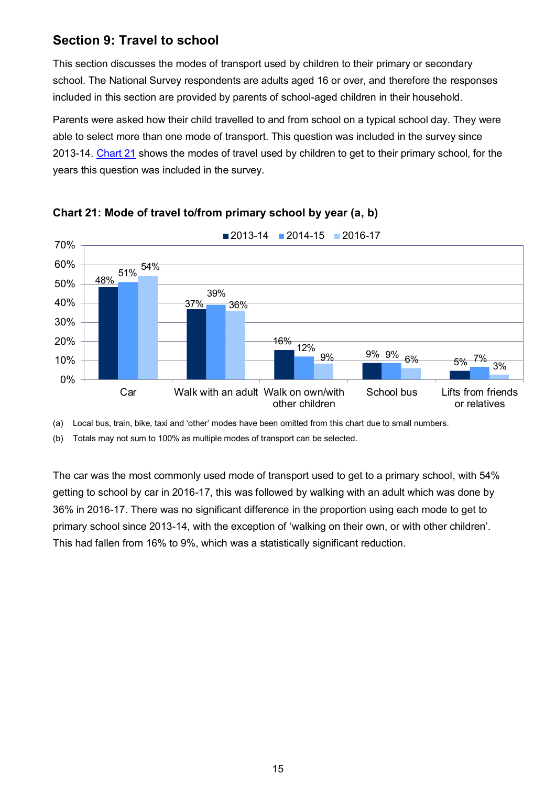## **Section 9: Travel to school**

This section discusses the modes of transport used by children to their primary or secondary school. The National Survey respondents are adults aged 16 or over, and therefore the responses included in this section are provided by parents of school-aged children in their household.

Parents were asked how their child travelled to and from school on a typical school day. They were able to select more than one mode of transport. This question was included in the survey since 2013-14. [Chart 21](#page-14-0) shows the modes of travel used by children to get to their primary school, for the years this question was included in the survey.



<span id="page-14-0"></span>

(a) Local bus, train, bike, taxi and 'other' modes have been omitted from this chart due to small numbers.

(b) Totals may not sum to 100% as multiple modes of transport can be selected.

The car was the most commonly used mode of transport used to get to a primary school, with 54% getting to school by car in 2016-17, this was followed by walking with an adult which was done by 36% in 2016-17. There was no significant difference in the proportion using each mode to get to primary school since 2013-14, with the exception of 'walking on their own, or with other children'. This had fallen from 16% to 9%, which was a statistically significant reduction.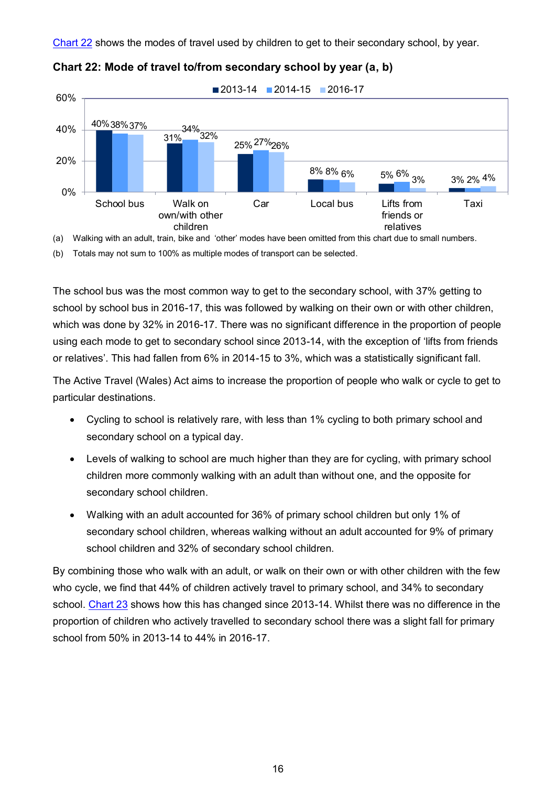[Chart 22](#page-15-0) shows the modes of travel used by children to get to their secondary school, by year.



<span id="page-15-0"></span>

(a) Walking with an adult, train, bike and 'other' modes have been omitted from this chart due to small numbers.

(b) Totals may not sum to 100% as multiple modes of transport can be selected.

The school bus was the most common way to get to the secondary school, with 37% getting to school by school bus in 2016-17, this was followed by walking on their own or with other children, which was done by 32% in 2016-17. There was no significant difference in the proportion of people using each mode to get to secondary school since 2013-14, with the exception of 'lifts from friends or relatives'. This had fallen from 6% in 2014-15 to 3%, which was a statistically significant fall.

The Active Travel (Wales) Act aims to increase the proportion of people who walk or cycle to get to particular destinations.

- Cycling to school is relatively rare, with less than 1% cycling to both primary school and secondary school on a typical day.
- Levels of walking to school are much higher than they are for cycling, with primary school children more commonly walking with an adult than without one, and the opposite for secondary school children.
- Walking with an adult accounted for 36% of primary school children but only 1% of secondary school children, whereas walking without an adult accounted for 9% of primary school children and 32% of secondary school children.

By combining those who walk with an adult, or walk on their own or with other children with the few who cycle, we find that 44% of children actively travel to primary school, and 34% to secondary school. [Chart 23](#page-16-0) shows how this has changed since 2013-14. Whilst there was no difference in the proportion of children who actively travelled to secondary school there was a slight fall for primary school from 50% in 2013-14 to 44% in 2016-17.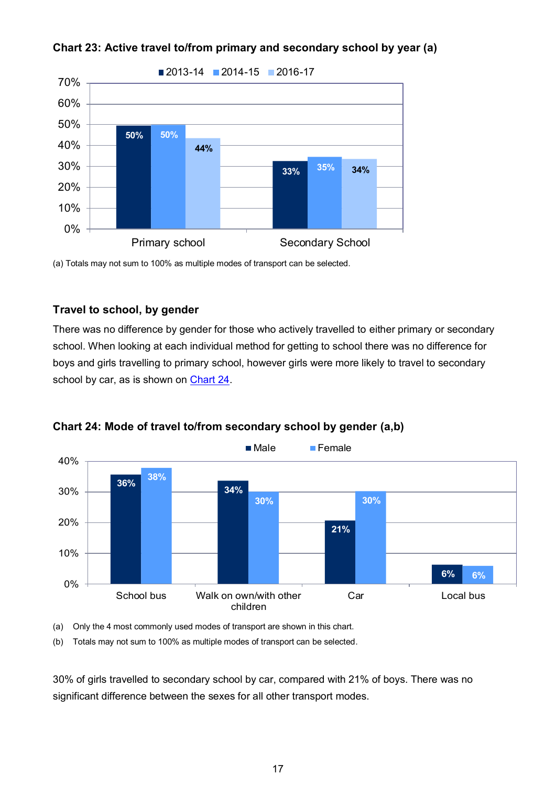

<span id="page-16-0"></span>

(a) Totals may not sum to 100% as multiple modes of transport can be selected.

#### **Travel to school, by gender**

There was no difference by gender for those who actively travelled to either primary or secondary school. When looking at each individual method for getting to school there was no difference for boys and girls travelling to primary school, however girls were more likely to travel to secondary school by car, as is shown on [Chart 24.](#page-16-1)



<span id="page-16-1"></span>

(a) Only the 4 most commonly used modes of transport are shown in this chart.

(b) Totals may not sum to 100% as multiple modes of transport can be selected.

30% of girls travelled to secondary school by car, compared with 21% of boys. There was no significant difference between the sexes for all other transport modes.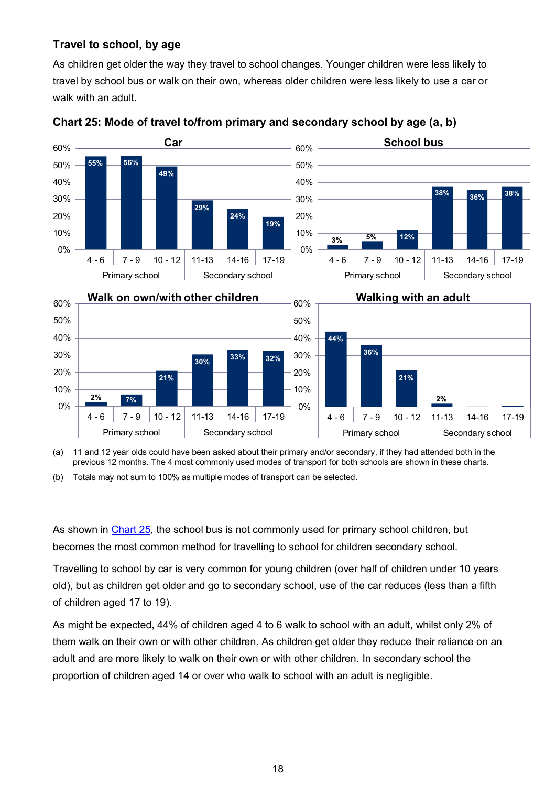#### <span id="page-17-0"></span>**Travel to school, by age**

As children get older the way they travel to school changes. Younger children were less likely to travel by school bus or walk on their own, whereas older children were less likely to use a car or walk with an adult.



**Chart 25: Mode of travel to/from primary and secondary school by age (a, b)**

(a) 11 and 12 year olds could have been asked about their primary and/or secondary, if they had attended both in the previous 12 months. The 4 most commonly used modes of transport for both schools are shown in these charts.

(b) Totals may not sum to 100% as multiple modes of transport can be selected.

As shown in [Chart 25,](#page-17-0) the school bus is not commonly used for primary school children, but becomes the most common method for travelling to school for children secondary school.

Travelling to school by car is very common for young children (over half of children under 10 years old), but as children get older and go to secondary school, use of the car reduces (less than a fifth of children aged 17 to 19).

As might be expected, 44% of children aged 4 to 6 walk to school with an adult, whilst only 2% of them walk on their own or with other children. As children get older they reduce their reliance on an adult and are more likely to walk on their own or with other children. In secondary school the proportion of children aged 14 or over who walk to school with an adult is negligible.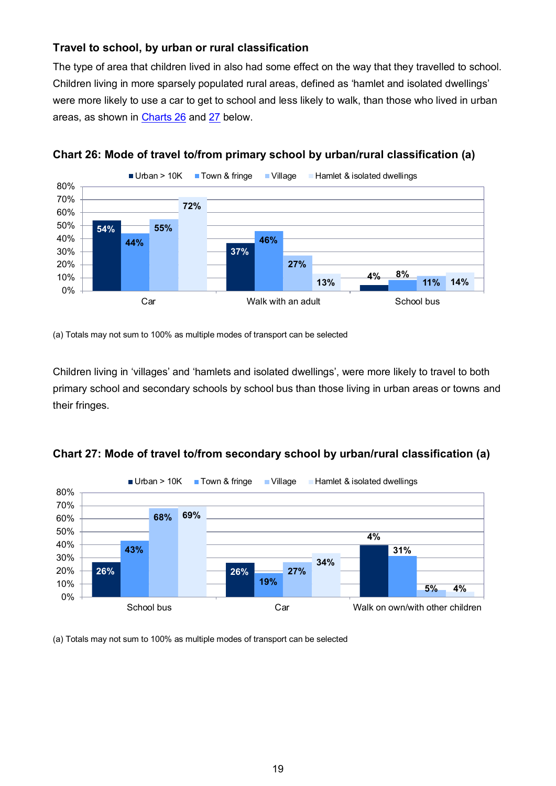#### **Travel to school, by urban or rural classification**

The type of area that children lived in also had some effect on the way that they travelled to school. Children living in more sparsely populated rural areas, defined as 'hamlet and isolated dwellings' were more likely to use a car to get to school and less likely to walk, than those who lived in urban areas, as shown in [Charts 26](#page-18-0) and [27](#page-18-1) below.



<span id="page-18-0"></span>

(a) Totals may not sum to 100% as multiple modes of transport can be selected

Children living in 'villages' and 'hamlets and isolated dwellings', were more likely to travel to both primary school and secondary schools by school bus than those living in urban areas or towns and their fringes.



<span id="page-18-1"></span>**Chart 27: Mode of travel to/from secondary school by urban/rural classification (a)**

(a) Totals may not sum to 100% as multiple modes of transport can be selected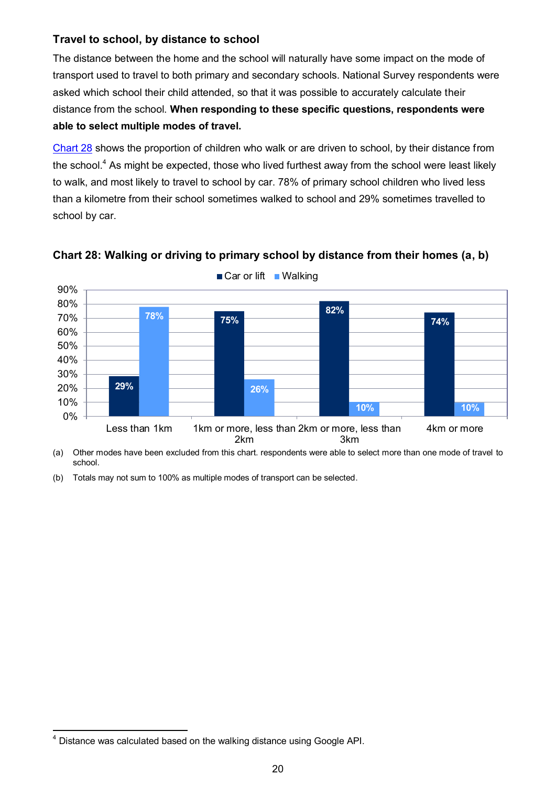#### **Travel to school, by distance to school**

The distance between the home and the school will naturally have some impact on the mode of transport used to travel to both primary and secondary schools. National Survey respondents were asked which school their child attended, so that it was possible to accurately calculate their distance from the school. **When responding to these specific questions, respondents were able to select multiple modes of travel.**

[Chart 28](#page-19-0) shows the proportion of children who walk or are driven to school, by their distance from the school.<sup>4</sup> As might be expected, those who lived furthest away from the school were least likely to walk, and most likely to travel to school by car. 78% of primary school children who lived less than a kilometre from their school sometimes walked to school and 29% sometimes travelled to school by car.



#### <span id="page-19-0"></span>**Chart 28: Walking or driving to primary school by distance from their homes (a, b)**

(a) Other modes have been excluded from this chart. respondents were able to select more than one mode of travel to school.

(b) Totals may not sum to 100% as multiple modes of transport can be selected.

 $\overline{\phantom{a}}$  $<sup>4</sup>$  Distance was calculated based on the walking distance using Google API.</sup>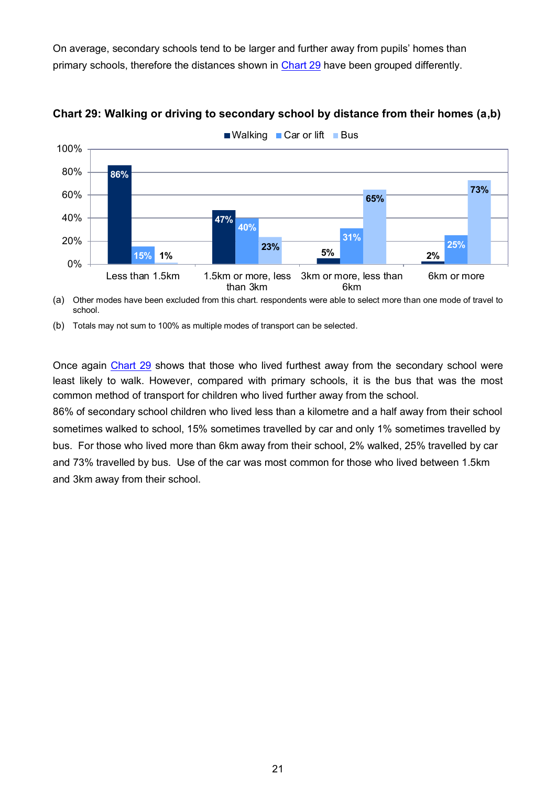<span id="page-20-0"></span>On average, secondary schools tend to be larger and further away from pupils' homes than primary schools, therefore the distances shown in [Chart 29](#page-20-0) have been grouped differently.



#### **Chart 29: Walking or driving to secondary school by distance from their homes (a,b)**

 $\blacksquare$  Walking  $\blacksquare$  Car or lift  $\blacksquare$  Bus

(a) Other modes have been excluded from this chart. respondents were able to select more than one mode of travel to school.

Once again [Chart 29](#page-20-0) shows that those who lived furthest away from the secondary school were least likely to walk. However, compared with primary schools, it is the bus that was the most common method of transport for children who lived further away from the school.

86% of secondary school children who lived less than a kilometre and a half away from their school sometimes walked to school, 15% sometimes travelled by car and only 1% sometimes travelled by bus. For those who lived more than 6km away from their school, 2% walked, 25% travelled by car and 73% travelled by bus. Use of the car was most common for those who lived between 1.5km and 3km away from their school.

<sup>(</sup>b) Totals may not sum to 100% as multiple modes of transport can be selected.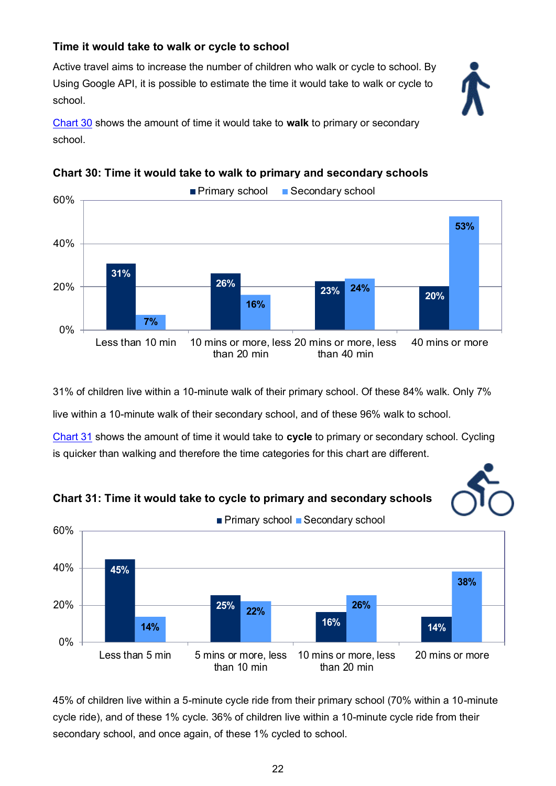## <span id="page-21-0"></span>**Time it would take to walk or cycle to school**

Active travel aims to increase the number of children who walk or cycle to school. By Using Google API, it is possible to estimate the time it would take to walk or cycle to school.



[Chart 30](#page-21-0) shows the amount of time it would take to **walk** to primary or secondary school.



#### **Chart 30: Time it would take to walk to primary and secondary schools**

31% of children live within a 10-minute walk of their primary school. Of these 84% walk. Only 7%

live within a 10-minute walk of their secondary school, and of these 96% walk to school.

[Chart 31](#page-21-0) shows the amount of time it would take to **cycle** to primary or secondary school. Cycling is quicker than walking and therefore the time categories for this chart are different.







45% of children live within a 5-minute cycle ride from their primary school (70% within a 10-minute cycle ride), and of these 1% cycle. 36% of children live within a 10-minute cycle ride from their secondary school, and once again, of these 1% cycled to school.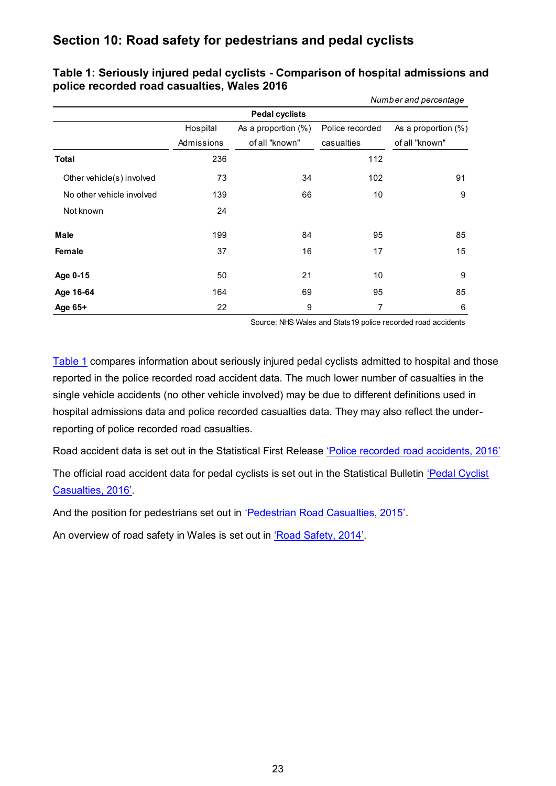## **Section 10: Road safety for pedestrians and pedal cyclists**

|                           |                        | <b>Pedal cyclists</b>                 |                               |                                       |
|---------------------------|------------------------|---------------------------------------|-------------------------------|---------------------------------------|
|                           | Hospital<br>Admissions | As a proportion (%)<br>of all "known" | Police recorded<br>casualties | As a proportion (%)<br>of all "known" |
| <b>Total</b>              | 236                    |                                       | 112                           |                                       |
| Other vehicle(s) involved | 73                     | 34                                    | 102                           | 91                                    |
| No other vehicle involved | 139                    | 66                                    | 10                            | 9                                     |
| Not known                 | 24                     |                                       |                               |                                       |
| Male                      | 199                    | 84                                    | 95                            | 85                                    |
| Female                    | 37                     | 16                                    | 17                            | 15                                    |
| Age 0-15                  | 50                     | 21                                    | 10                            | 9                                     |
| Age 16-64                 | 164                    | 69                                    | 95                            | 85                                    |
| Age 65+                   | 22                     | 9                                     | 7                             | 6                                     |

<span id="page-22-0"></span>**Table 1: Seriously injured pedal cyclists - Comparison of hospital admissions and police recorded road casualties, Wales 2016**

Source: NHS Wales and Stats19 police recorded road accidents

 *Number and percentage*

[Table 1](#page-22-0) compares information about seriously injured pedal cyclists admitted to hospital and those reported in the police recorded road accident data. The much lower number of casualties in the single vehicle accidents (no other vehicle involved) may be due to different definitions used in hospital admissions data and police recorded casualties data. They may also reflect the underreporting of police recorded road casualties.

Road accident data is set out in the Statistical First Release ['Police recorded road accidents, 2016'](http://gov.wales/statistics-and-research/police-recorded-road-casualties/?lang=en)

The official road accident data for pedal cyclists is set out in the Statistical Bulletin 'Pedal Cyclist [Casualties, 201](http://gov.wales/statistics-and-research/pedal-cyclist-casualties/?lang=en&)6'.

And the position for pedestrians set out in ['Pedestrian Road Casualties, 2015'](http://gov.wales/statistics-and-research/pedestrian-road-casualties/?lang=en).

An overview of road safety in Wales is set out in ['Road Safety, 2014'](http://gov.wales/statistics-and-research/road-safety/?lang=en).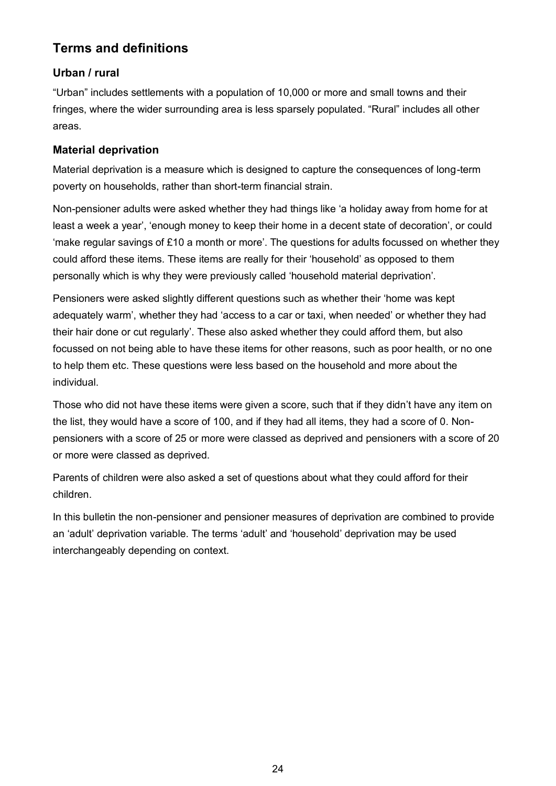## **Terms and definitions**

## **Urban / rural**

"Urban" includes settlements with a population of 10,000 or more and small towns and their fringes, where the wider surrounding area is less sparsely populated. "Rural" includes all other areas.

## **Material deprivation**

Material deprivation is a measure which is designed to capture the consequences of long-term poverty on households, rather than short-term financial strain.

Non-pensioner adults were asked whether they had things like 'a holiday away from home for at least a week a year', 'enough money to keep their home in a decent state of decoration', or could 'make regular savings of £10 a month or more'. The questions for adults focussed on whether they could afford these items. These items are really for their 'household' as opposed to them personally which is why they were previously called 'household material deprivation'.

Pensioners were asked slightly different questions such as whether their 'home was kept adequately warm', whether they had 'access to a car or taxi, when needed' or whether they had their hair done or cut regularly'. These also asked whether they could afford them, but also focussed on not being able to have these items for other reasons, such as poor health, or no one to help them etc. These questions were less based on the household and more about the individual.

Those who did not have these items were given a score, such that if they didn't have any item on the list, they would have a score of 100, and if they had all items, they had a score of 0. Nonpensioners with a score of 25 or more were classed as deprived and pensioners with a score of 20 or more were classed as deprived.

Parents of children were also asked a set of questions about what they could afford for their children.

In this bulletin the non-pensioner and pensioner measures of deprivation are combined to provide an 'adult' deprivation variable. The terms 'adult' and 'household' deprivation may be used interchangeably depending on context.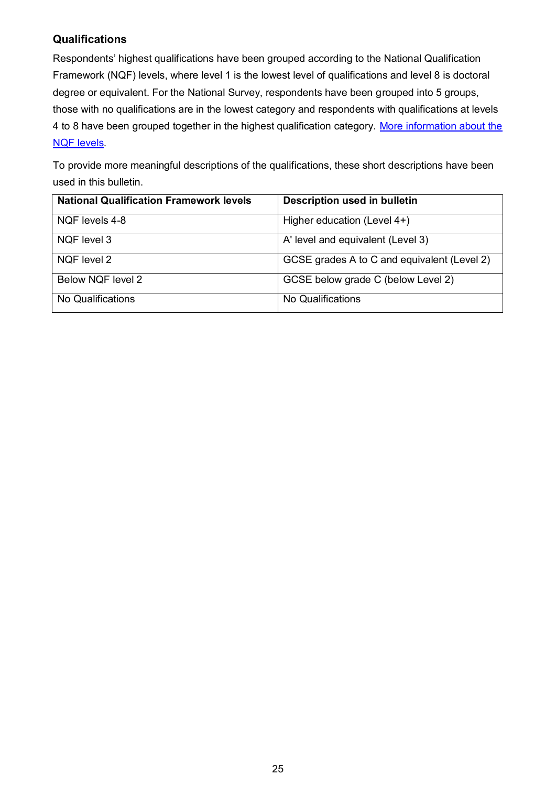## **Qualifications**

Respondents' highest qualifications have been grouped according to the National Qualification Framework (NQF) levels, where level 1 is the lowest level of qualifications and level 8 is doctoral degree or equivalent. For the National Survey, respondents have been grouped into 5 groups, those with no qualifications are in the lowest category and respondents with qualifications at levels 4 to 8 have been grouped together in the highest qualification category. More information about the [NQF levels](http://gov.wales/docs/dcells/publications/110920qualificationsguideen.pdf).

To provide more meaningful descriptions of the qualifications, these short descriptions have been used in this bulletin.

| <b>National Qualification Framework levels</b> | <b>Description used in bulletin</b>         |
|------------------------------------------------|---------------------------------------------|
| NQF levels 4-8                                 | Higher education (Level 4+)                 |
| NQF level 3                                    | A' level and equivalent (Level 3)           |
| NQF level 2                                    | GCSE grades A to C and equivalent (Level 2) |
| Below NQF level 2                              | GCSE below grade C (below Level 2)          |
| No Qualifications                              | No Qualifications                           |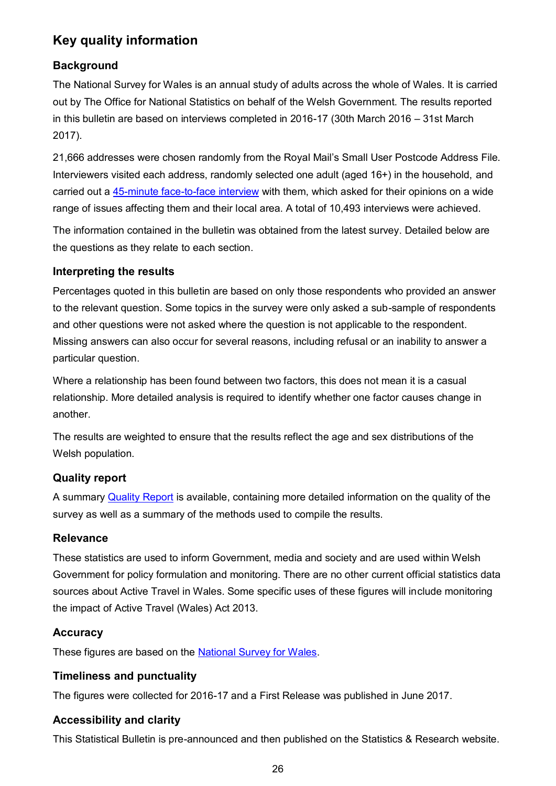## **Key quality information**

## **Background**

The National Survey for Wales is an annual study of adults across the whole of Wales. It is carried out by The Office for National Statistics on behalf of the Welsh Government. The results reported in this bulletin are based on interviews completed in 2016-17 (30th March 2016 – 31st March 2017).

21,666 addresses were chosen randomly from the Royal Mail's Small User Postcode Address File. Interviewers visited each address, randomly selected one adult (aged 16+) in the household, and carried out a [45-minute face-to-face interview](http://gov.wales/docs/caecd/research/2016/160817-national-survey-questionnaire-2016-17-en.pdf) with them, which asked for their opinions on a wide range of issues affecting them and their local area. A total of 10,493 interviews were achieved.

The information contained in the bulletin was obtained from the latest survey. Detailed below are the questions as they relate to each section.

## **Interpreting the results**

Percentages quoted in this bulletin are based on only those respondents who provided an answer to the relevant question. Some topics in the survey were only asked a sub-sample of respondents and other questions were not asked where the question is not applicable to the respondent. Missing answers can also occur for several reasons, including refusal or an inability to answer a particular question.

Where a relationship has been found between two factors, this does not mean it is a casual relationship. More detailed analysis is required to identify whether one factor causes change in another.

The results are weighted to ensure that the results reflect the age and sex distributions of the Welsh population.

## **Quality report**

A summary [Quality Report](http://gov.wales/statistics-and-research/national-survey/design-methodology/technical-information/?tab=current) is available, containing more detailed information on the quality of the survey as well as a summary of the methods used to compile the results.

#### **Relevance**

These statistics are used to inform Government, media and society and are used within Welsh Government for policy formulation and monitoring. There are no other current official statistics data sources about Active Travel in Wales. Some specific uses of these figures will include monitoring the impact of Active Travel (Wales) Act 2013.

## **Accuracy**

These figures are based on the [National Survey for Wales.](http://gov.wales/statistics-and-research/national-survey/?lang=en)

## **Timeliness and punctuality**

The figures were collected for 2016-17 and a First Release was published in June 2017.

## **Accessibility and clarity**

This Statistical Bulletin is pre-announced and then published on the Statistics & Research website.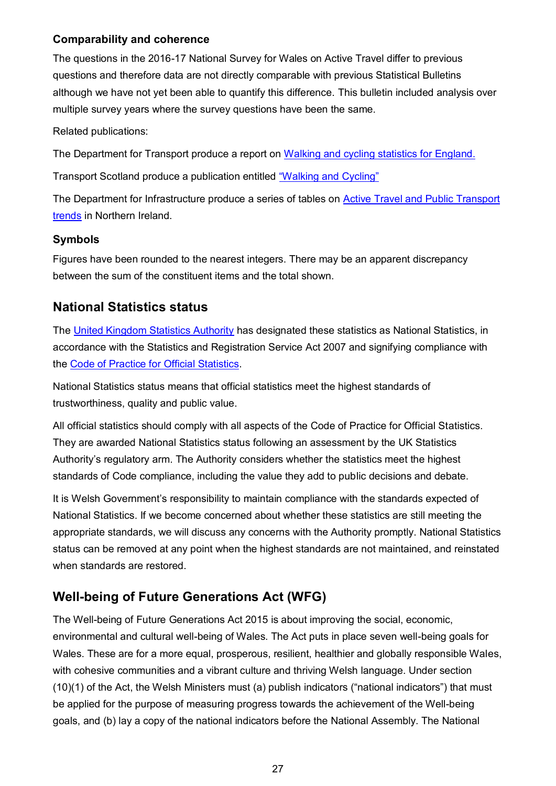#### **Comparability and coherence**

The questions in the 2016-17 National Survey for Wales on Active Travel differ to previous questions and therefore data are not directly comparable with previous Statistical Bulletins although we have not yet been able to quantify this difference. This bulletin included analysis over multiple survey years where the survey questions have been the same.

Related publications:

The Department for Transport produce a report on [Walking and cycling statistics for England.](https://www.gov.uk/government/statistics/walking-and-cycling-statistics-england-2016)

Transport Scotland produce a publication entitled ["Walking and Cycling"](https://www.transport.gov.scot/publication/26-september-2017-transport-and-travel-in-scotland-2016/7-walking-and-cycling/)

The Department for Infrastructure produce a series of tables on [Active Travel and Public Transport](https://www.infrastructure-ni.gov.uk/publications/active-travel-and-public-transport-trends)  [trends](https://www.infrastructure-ni.gov.uk/publications/active-travel-and-public-transport-trends) in Northern Ireland.

#### **Symbols**

Figures have been rounded to the nearest integers. There may be an apparent discrepancy between the sum of the constituent items and the total shown.

## **National Statistics status**

The [United Kingdom Statistics Authority](https://www.statisticsauthority.gov.uk/) has designated these statistics as National Statistics, in accordance with the Statistics and Registration Service Act 2007 and signifying compliance with the [Code of Practice for Official Statistics.](https://www.statisticsauthority.gov.uk/monitoring-and-assessment/code-of-practice/)

National Statistics status means that official statistics meet the highest standards of trustworthiness, quality and public value.

All official statistics should comply with all aspects of the Code of Practice for Official Statistics. They are awarded National Statistics status following an assessment by the UK Statistics Authority's regulatory arm. The Authority considers whether the statistics meet the highest standards of Code compliance, including the value they add to public decisions and debate.

It is Welsh Government's responsibility to maintain compliance with the standards expected of National Statistics. If we become concerned about whether these statistics are still meeting the appropriate standards, we will discuss any concerns with the Authority promptly. National Statistics status can be removed at any point when the highest standards are not maintained, and reinstated when standards are restored.

## **Well-being of Future Generations Act (WFG)**

The Well-being of Future Generations Act 2015 is about improving the social, economic, environmental and cultural well-being of Wales. The Act puts in place seven well-being goals for Wales. These are for a more equal, prosperous, resilient, healthier and globally responsible Wales, with cohesive communities and a vibrant culture and thriving Welsh language. Under section (10)(1) of the Act, the Welsh Ministers must (a) publish indicators ("national indicators") that must be applied for the purpose of measuring progress towards the achievement of the Well-being goals, and (b) lay a copy of the national indicators before the National Assembly. The National